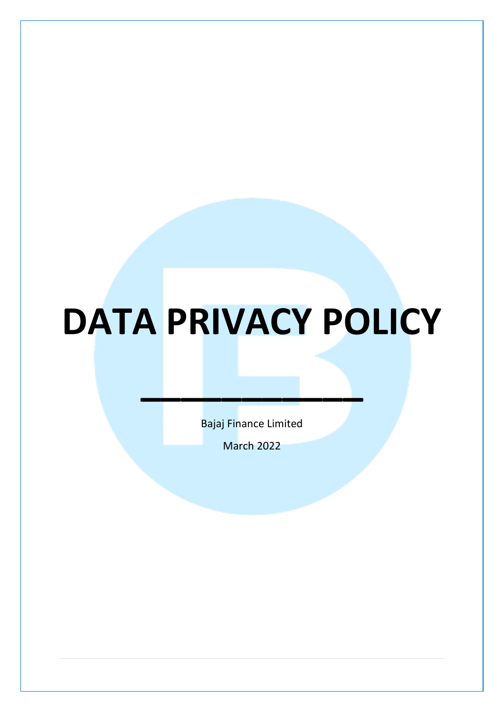# **DATA PRIVACY POLICY**

Bajaj Finance Limited

**\_\_\_\_\_\_\_\_\_\_\_**

March 2022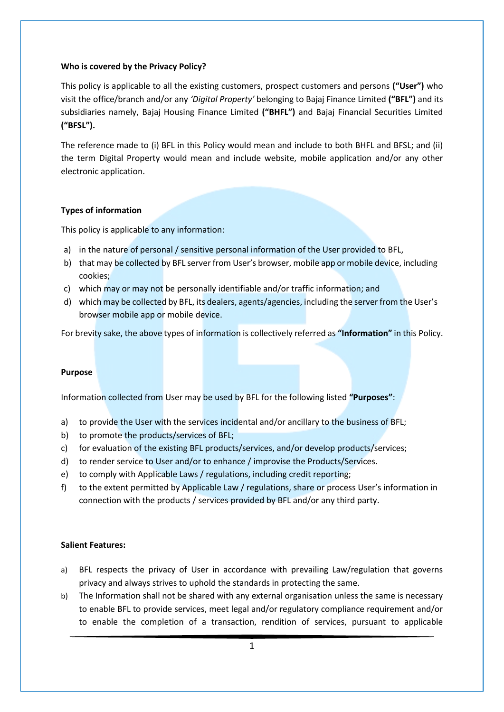#### **Who is covered by the Privacy Policy?**

This policy is applicable to all the existing customers, prospect customers and persons **("User")** who visit the office/branch and/or any *'Digital Property'* belonging to Bajaj Finance Limited **("BFL")** and its subsidiaries namely, Bajaj Housing Finance Limited **("BHFL")** and Bajaj Financial Securities Limited **("BFSL").**

The reference made to (i) BFL in this Policy would mean and include to both BHFL and BFSL; and (ii) the term Digital Property would mean and include website, mobile application and/or any other electronic application.

## **Types of information**

This policy is applicable to any information:

- a) in the nature of personal / sensitive personal information of the User provided to BFL,
- b) that may be collected by BFL server from User's browser, mobile app or mobile device, including cookies;
- c) which may or may not be personally identifiable and/or traffic information; and
- d) which may be collected by BFL, its dealers, agents/agencies, including the server from the User's browser mobile app or mobile device.

For brevity sake, the above types of information is collectively referred as **"Information"** in this Policy.

#### **Purpose**

Information collected from User may be used by BFL for the following listed **"Purposes"**:

- a) to provide the User with the services incidental and/or ancillary to the business of BFL;
- b) to promote the products/services of BFL;
- c) for evaluation of the existing BFL products/services, and/or develop products/services;
- d) to render service to User and/or to enhance / improvise the Products/Services.
- e) to comply with Applicable Laws / regulations, including credit reporting;
- f) to the extent permitted by Applicable Law / regulations, share or process User's information in connection with the products / services provided by BFL and/or any third party.

#### **Salient Features:**

- a) BFL respects the privacy of User in accordance with prevailing Law/regulation that governs privacy and always strives to uphold the standards in protecting the same.
- b) The Information shall not be shared with any external organisation unless the same is necessary to enable BFL to provide services, meet legal and/or regulatory compliance requirement and/or to enable the completion of a transaction, rendition of services, pursuant to applicable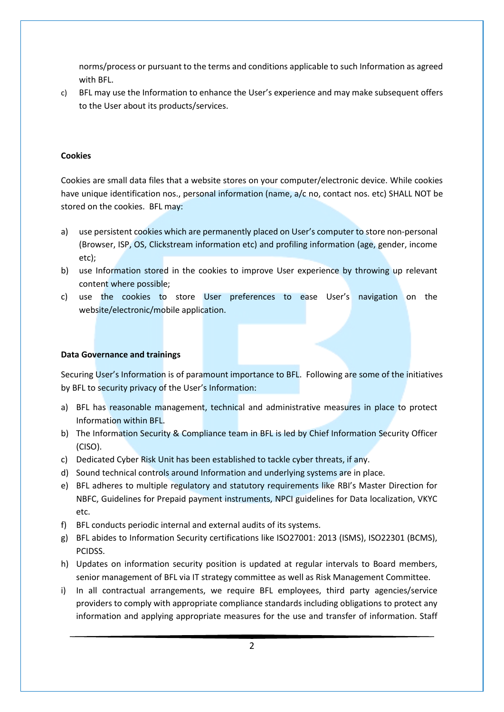norms/process or pursuant to the terms and conditions applicable to such Information as agreed with BFL.

c) BFL may use the Information to enhance the User's experience and may make subsequent offers to the User about its products/services.

## **Cookies**

Cookies are small data files that a website stores on your computer/electronic device. While cookies have unique identification nos., personal information (name, a/c no, contact nos. etc) SHALL NOT be stored on the cookies. BFL may:

- a) use persistent cookies which are permanently placed on User's computer to store non-personal (Browser, ISP, OS, Clickstream information etc) and profiling information (age, gender, income etc);
- b) use Information stored in the cookies to improve User experience by throwing up relevant content where possible;
- c) use the cookies to store User preferences to ease User's navigation on the website/electronic/mobile application.

## **Data Governance and trainings**

Securing User's Information is of paramount importance to BFL. Following are some of the initiatives by BFL to security privacy of the User's Information:

- a) BFL has reasonable management, technical and administrative measures in place to protect Information within BFL.
- b) The Information Security & Compliance team in BFL is led by Chief Information Security Officer (CISO).
- c) Dedicated Cyber Risk Unit has been established to tackle cyber threats, if any.
- d) Sound technical controls around Information and underlying systems are in place.
- e) BFL adheres to multiple regulatory and statutory requirements like RBI's Master Direction for NBFC, Guidelines for Prepaid payment instruments, NPCI guidelines for Data localization, VKYC etc.
- f) BFL conducts periodic internal and external audits of its systems.
- g) BFL abides to Information Security certifications like ISO27001: 2013 (ISMS), ISO22301 (BCMS), PCIDSS.
- h) Updates on information security position is updated at regular intervals to Board members, senior management of BFL via IT strategy committee as well as Risk Management Committee.
- i) In all contractual arrangements, we require BFL employees, third party agencies/service providers to comply with appropriate compliance standards including obligations to protect any information and applying appropriate measures for the use and transfer of information. Staff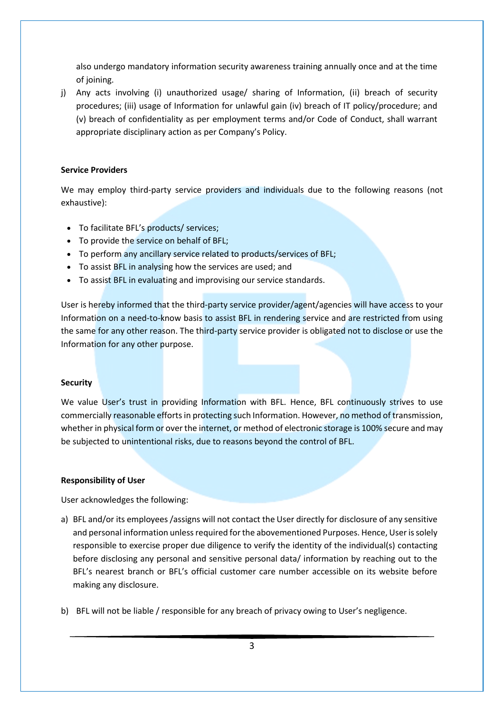also undergo mandatory information security awareness training annually once and at the time of joining.

j) Any acts involving (i) unauthorized usage/ sharing of Information, (ii) breach of security procedures; (iii) usage of Information for unlawful gain (iv) breach of IT policy/procedure; and (v) breach of confidentiality as per employment terms and/or Code of Conduct, shall warrant appropriate disciplinary action as per Company's Policy.

## **Service Providers**

We may employ third-party service providers and individuals due to the following reasons (not exhaustive):

- To facilitate BFL's products/ services;
- To provide the service on behalf of BFL;
- To perform any ancillary service related to products/services of BFL;
- To assist BFL in analysing how the services are used; and
- To assist BFL in evaluating and improvising our service standards.

User is hereby informed that the third-party service provider/agent/agencies will have access to your Information on a need-to-know basis to assist BFL in rendering service and are restricted from using the same for any other reason. The third-party service provider is obligated not to disclose or use the Information for any other purpose.

## **Security**

We value User's trust in providing Information with BFL. Hence, BFL continuously strives to use commercially reasonable efforts in protecting such Information. However, no method of transmission, whether in physical form or over the internet, or method of electronic storage is 100% secure and may be subjected to unintentional risks, due to reasons beyond the control of BFL.

## **Responsibility of User**

User acknowledges the following:

- a) BFL and/or its employees /assigns will not contact the User directly for disclosure of any sensitive and personal information unless required for the abovementioned Purposes. Hence, User is solely responsible to exercise proper due diligence to verify the identity of the individual(s) contacting before disclosing any personal and sensitive personal data/ information by reaching out to the BFL's nearest branch or BFL's official customer care number accessible on its website before making any disclosure.
- b) BFL will not be liable / responsible for any breach of privacy owing to User's negligence.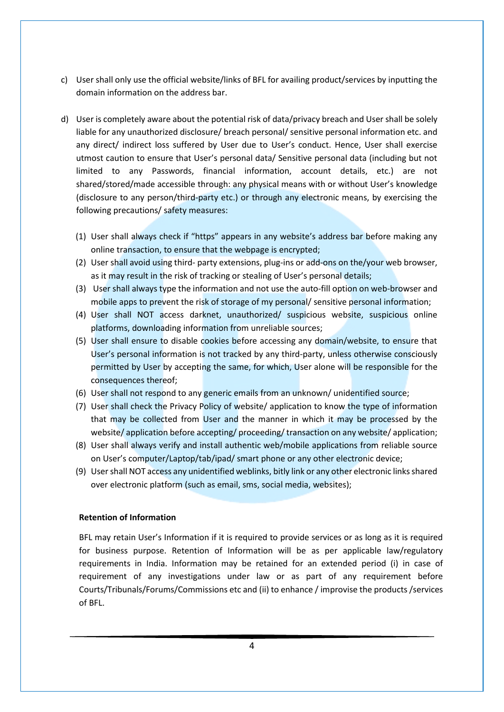- c) User shall only use the official website/links of BFL for availing product/services by inputting the domain information on the address bar.
- d) User is completely aware about the potential risk of data/privacy breach and User shall be solely liable for any unauthorized disclosure/ breach personal/ sensitive personal information etc. and any direct/ indirect loss suffered by User due to User's conduct. Hence, User shall exercise utmost caution to ensure that User's personal data/ Sensitive personal data (including but not limited to any Passwords, financial information, account details, etc.) are not shared/stored/made accessible through: any physical means with or without User's knowledge (disclosure to any person/third-party etc.) or through any electronic means, by exercising the following precautions/ safety measures:
	- (1) User shall always check if "https" appears in any website's address bar before making any online transaction, to ensure that the webpage is encrypted;
	- (2) User shall avoid using third- party extensions, plug-ins or add-ons on the/your web browser, as it may result in the risk of tracking or stealing of User's personal details;
	- (3) User shall always type the information and not use the auto-fill option on web-browser and mobile apps to prevent the risk of storage of my personal/ sensitive personal information;
	- (4) User shall NOT access darknet, unauthorized/ suspicious website, suspicious online platforms, downloading information from unreliable sources;
	- (5) User shall ensure to disable cookies before accessing any domain/website, to ensure that User's personal information is not tracked by any third-party, unless otherwise consciously permitted by User by accepting the same, for which, User alone will be responsible for the consequences thereof;
	- (6) User shall not respond to any generic emails from an unknown/ unidentified source;
	- (7) User shall check the Privacy Policy of website/ application to know the type of information that may be collected from User and the manner in which it may be processed by the website/ application before accepting/ proceeding/ transaction on any website/ application;
	- (8) User shall always verify and install authentic web/mobile applications from reliable source on User's computer/Laptop/tab/ipad/ smart phone or any other electronic device;
	- (9) User shall NOT access any unidentified weblinks, bitly link or any other electronic links shared over electronic platform (such as email, sms, social media, websites);

#### **Retention of Information**

BFL may retain User's Information if it is required to provide services or as long as it is required for business purpose. Retention of Information will be as per applicable law/regulatory requirements in India. Information may be retained for an extended period (i) in case of requirement of any investigations under law or as part of any requirement before Courts/Tribunals/Forums/Commissions etc and (ii) to enhance / improvise the products /services of BFL.